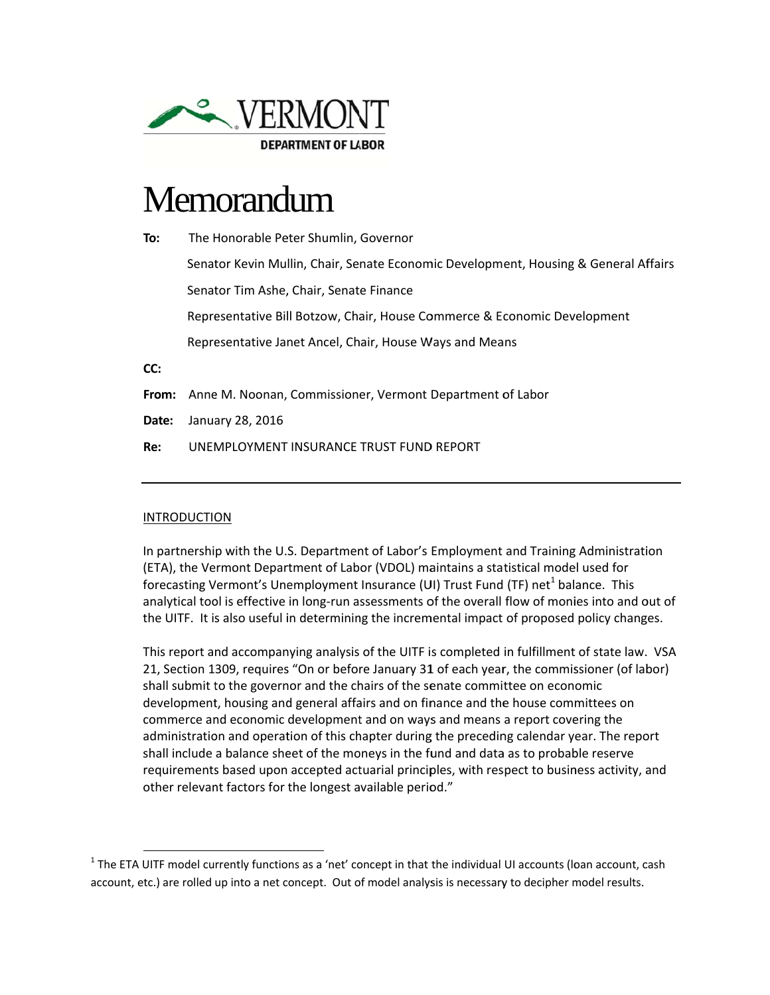

# Memorandum

To: The Honorable Peter Shumlin, Governor Senator Kevin Mullin, Chair, Senate Economic Development, Housing & General Affairs Senator Tim Ashe, Chair, Senate Finance Representative Bill Botzow, Chair, House Commerce & Economic Development Representative Janet Ancel, Chair, House Ways and Means CC: From: Anne M. Noonan, Commissioner, Vermont Department of Labor

Date: January 28, 2016

Re: UNEMPLOYMENT INSURANCE TRUST FUND REPORT

# **INTRODUCTION**

In partnership with the U.S. Department of Labor's Employment and Training Administration (ETA), the Vermont Department of Labor (VDOL) maintains a statistical model used for forecasting Vermont's Unemployment Insurance (UI) Trust Fund (TF) net<sup>1</sup> balance. This analytical tool is effective in long-run assessments of the overall flow of monies into and out of the UITF. It is also useful in determining the incremental impact of proposed policy changes.

This report and accompanying analysis of the UITF is completed in fulfillment of state law. VSA 21, Section 1309, requires "On or before January 31 of each year, the commissioner (of labor) shall submit to the governor and the chairs of the senate committee on economic development, housing and general affairs and on finance and the house committees on commerce and economic development and on ways and means a report covering the administration and operation of this chapter during the preceding calendar year. The report shall include a balance sheet of the moneys in the fund and data as to probable reserve requirements based upon accepted actuarial principles, with respect to business activity, and other relevant factors for the longest available period."

 $1$  The ETA UITF model currently functions as a 'net' concept in that the individual UI accounts (loan account, cash account, etc.) are rolled up into a net concept. Out of model analysis is necessary to decipher model results.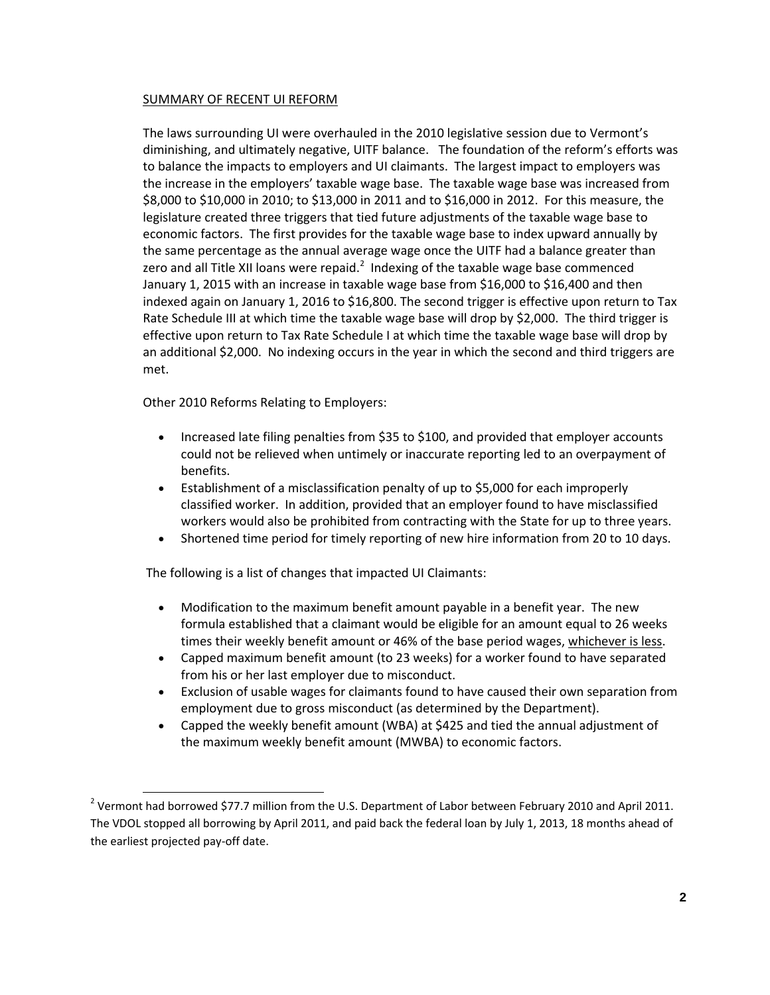# SUMMARY OF RECENT UI REFORM

The laws surrounding UI were overhauled in the 2010 legislative session due to Vermont's diminishing, and ultimately negative, UITF balance. The foundation of the reform's efforts was to balance the impacts to employers and UI claimants. The largest impact to employers was the increase in the employers' taxable wage base. The taxable wage base was increased from \$8,000 to \$10,000 in 2010; to \$13,000 in 2011 and to \$16,000 in 2012. For this measure, the legislature created three triggers that tied future adjustments of the taxable wage base to economic factors. The first provides for the taxable wage base to index upward annually by the same percentage as the annual average wage once the UITF had a balance greater than zero and all Title XII loans were repaid.<sup>2</sup> Indexing of the taxable wage base commenced January 1, 2015 with an increase in taxable wage base from \$16,000 to \$16,400 and then indexed again on January 1, 2016 to \$16,800. The second trigger is effective upon return to Tax Rate Schedule III at which time the taxable wage base will drop by \$2,000. The third trigger is effective upon return to Tax Rate Schedule I at which time the taxable wage base will drop by an additional \$2,000. No indexing occurs in the year in which the second and third triggers are met.

Other 2010 Reforms Relating to Employers:

- Increased late filing penalties from \$35 to \$100, and provided that employer accounts could not be relieved when untimely or inaccurate reporting led to an overpayment of benefits.
- Establishment of a misclassification penalty of up to \$5,000 for each improperly classified worker. In addition, provided that an employer found to have misclassified workers would also be prohibited from contracting with the State for up to three years.
- Shortened time period for timely reporting of new hire information from 20 to 10 days.

The following is a list of changes that impacted UI Claimants:

- Modification to the maximum benefit amount payable in a benefit year. The new formula established that a claimant would be eligible for an amount equal to 26 weeks times their weekly benefit amount or 46% of the base period wages, whichever is less.
- Capped maximum benefit amount (to 23 weeks) for a worker found to have separated from his or her last employer due to misconduct.
- Exclusion of usable wages for claimants found to have caused their own separation from employment due to gross misconduct (as determined by the Department).
- Capped the weekly benefit amount (WBA) at \$425 and tied the annual adjustment of the maximum weekly benefit amount (MWBA) to economic factors.

<sup>&</sup>lt;sup>2</sup> Vermont had borrowed \$77.7 million from the U.S. Department of Labor between February 2010 and April 2011. The VDOL stopped all borrowing by April 2011, and paid back the federal loan by July 1, 2013, 18 months ahead of the earliest projected pay‐off date.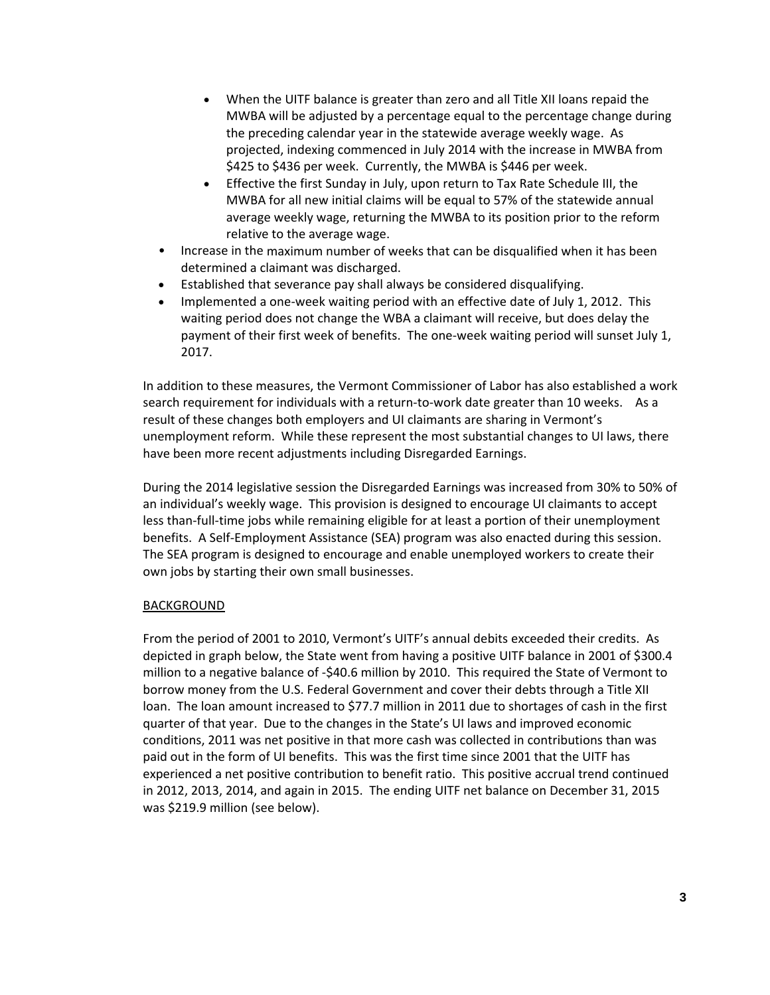- When the UITF balance is greater than zero and all Title XII loans repaid the MWBA will be adjusted by a percentage equal to the percentage change during the preceding calendar year in the statewide average weekly wage. As projected, indexing commenced in July 2014 with the increase in MWBA from \$425 to \$436 per week. Currently, the MWBA is \$446 per week.
- Effective the first Sunday in July, upon return to Tax Rate Schedule III, the MWBA for all new initial claims will be equal to 57% of the statewide annual average weekly wage, returning the MWBA to its position prior to the reform relative to the average wage.
- Increase in the maximum number of weeks that can be disqualified when it has been determined a claimant was discharged.
- Established that severance pay shall always be considered disqualifying.
- Implemented a one‐week waiting period with an effective date of July 1, 2012. This waiting period does not change the WBA a claimant will receive, but does delay the payment of their first week of benefits. The one-week waiting period will sunset July 1, 2017.

In addition to these measures, the Vermont Commissioner of Labor has also established a work search requirement for individuals with a return-to-work date greater than 10 weeks. As a result of these changes both employers and UI claimants are sharing in Vermont's unemployment reform. While these represent the most substantial changes to UI laws, there have been more recent adjustments including Disregarded Earnings.

During the 2014 legislative session the Disregarded Earnings was increased from 30% to 50% of an individual's weekly wage. This provision is designed to encourage UI claimants to accept less than-full-time jobs while remaining eligible for at least a portion of their unemployment benefits. A Self-Employment Assistance (SEA) program was also enacted during this session. The SEA program is designed to encourage and enable unemployed workers to create their own jobs by starting their own small businesses.

# **BACKGROUND**

From the period of 2001 to 2010, Vermont's UITF's annual debits exceeded their credits. As depicted in graph below, the State went from having a positive UITF balance in 2001 of \$300.4 million to a negative balance of ‐\$40.6 million by 2010. This required the State of Vermont to borrow money from the U.S. Federal Government and cover their debts through a Title XII loan. The loan amount increased to \$77.7 million in 2011 due to shortages of cash in the first quarter of that year. Due to the changes in the State's UI laws and improved economic conditions, 2011 was net positive in that more cash was collected in contributions than was paid out in the form of UI benefits. This was the first time since 2001 that the UITF has experienced a net positive contribution to benefit ratio. This positive accrual trend continued in 2012, 2013, 2014, and again in 2015. The ending UITF net balance on December 31, 2015 was \$219.9 million (see below).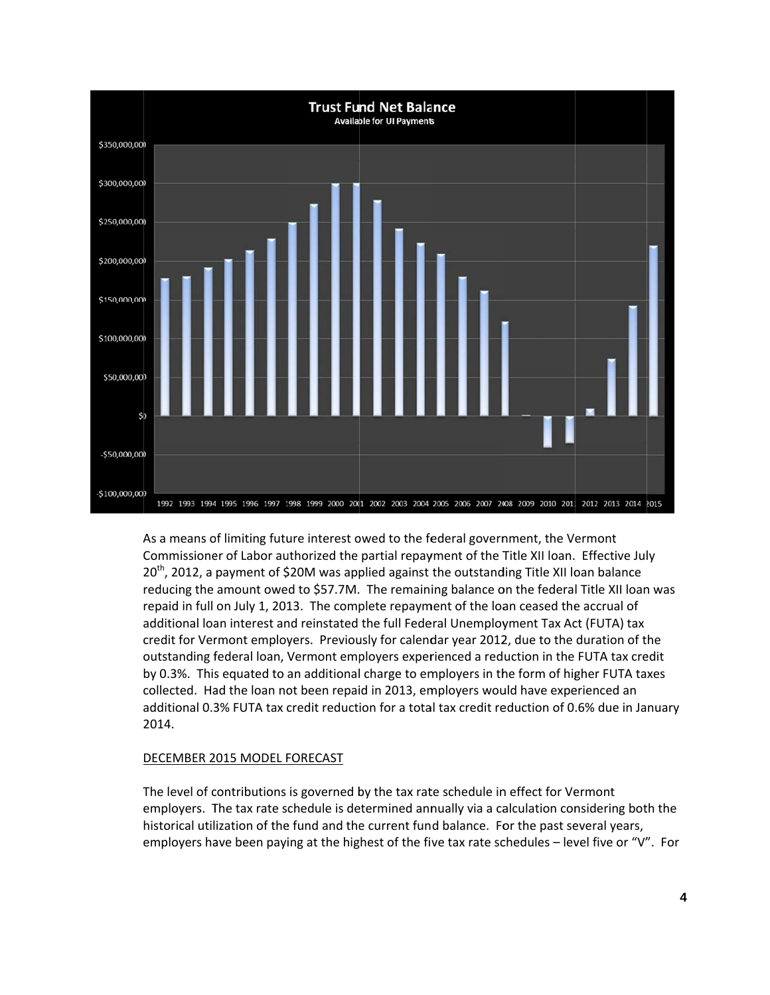

As a means of limiting future interest owed to the federal government, the Vermont Commissioner of Labor authorized the partial repayment of the Title XII Ioan. Effective July  $20^{th}$ , 2012, a payment of \$20M was applied against the outstanding Title XII loan balance reducing the amount owed to \$57.7M. The remaining balance on the federal Title XII loan was repaid in full on July 1, 2013. The complete repayment of the loan ceased the accrual of additional loan interest and reinstated the full Federal Unemployment Tax Act (FUTA) tax credit for Vermont employers. Previously for calendar year 2012, due to the duration of the outstanding federal loan, Vermont employers experienced a reduction in the FUTA tax credit by 0.3%. This equated to an additional charge to employers in the form of higher FUTA taxes collected. Had the loan not been repaid in 2013, employers would have experienced an additional 0.3% FUTA tax credit reduction for a total tax credit reduction of 0.6% due in January 2014.

# DECEMBER 2015 MODEL FORECAST

The level of contributions is governed by the tax rate schedule in effect for Vermont employers. The tax rate schedule is determined annually via a calculation considering both the historical utilization of the fund and the current fund balance. For the past several years, employers have been paying at the highest of the five tax rate schedules - level five or "V". For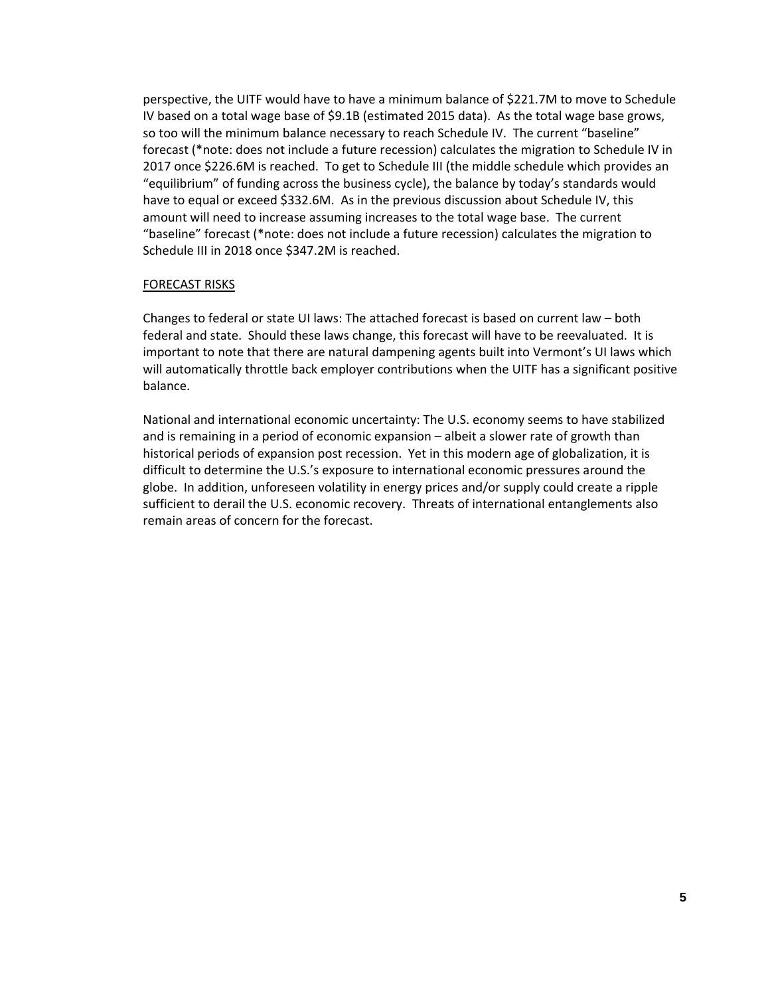perspective, the UITF would have to have a minimum balance of \$221.7M to move to Schedule IV based on a total wage base of \$9.1B (estimated 2015 data). As the total wage base grows, so too will the minimum balance necessary to reach Schedule IV. The current "baseline" forecast (\*note: does not include a future recession) calculates the migration to Schedule IV in 2017 once \$226.6M is reached. To get to Schedule III (the middle schedule which provides an "equilibrium" of funding across the business cycle), the balance by today's standards would have to equal or exceed \$332.6M. As in the previous discussion about Schedule IV, this amount will need to increase assuming increases to the total wage base. The current "baseline" forecast (\*note: does not include a future recession) calculates the migration to Schedule III in 2018 once \$347.2M is reached.

# FORECAST RISKS

Changes to federal or state UI laws: The attached forecast is based on current law – both federal and state. Should these laws change, this forecast will have to be reevaluated. It is important to note that there are natural dampening agents built into Vermont's UI laws which will automatically throttle back employer contributions when the UITF has a significant positive balance.

National and international economic uncertainty: The U.S. economy seems to have stabilized and is remaining in a period of economic expansion – albeit a slower rate of growth than historical periods of expansion post recession. Yet in this modern age of globalization, it is difficult to determine the U.S.'s exposure to international economic pressures around the globe. In addition, unforeseen volatility in energy prices and/or supply could create a ripple sufficient to derail the U.S. economic recovery. Threats of international entanglements also remain areas of concern for the forecast.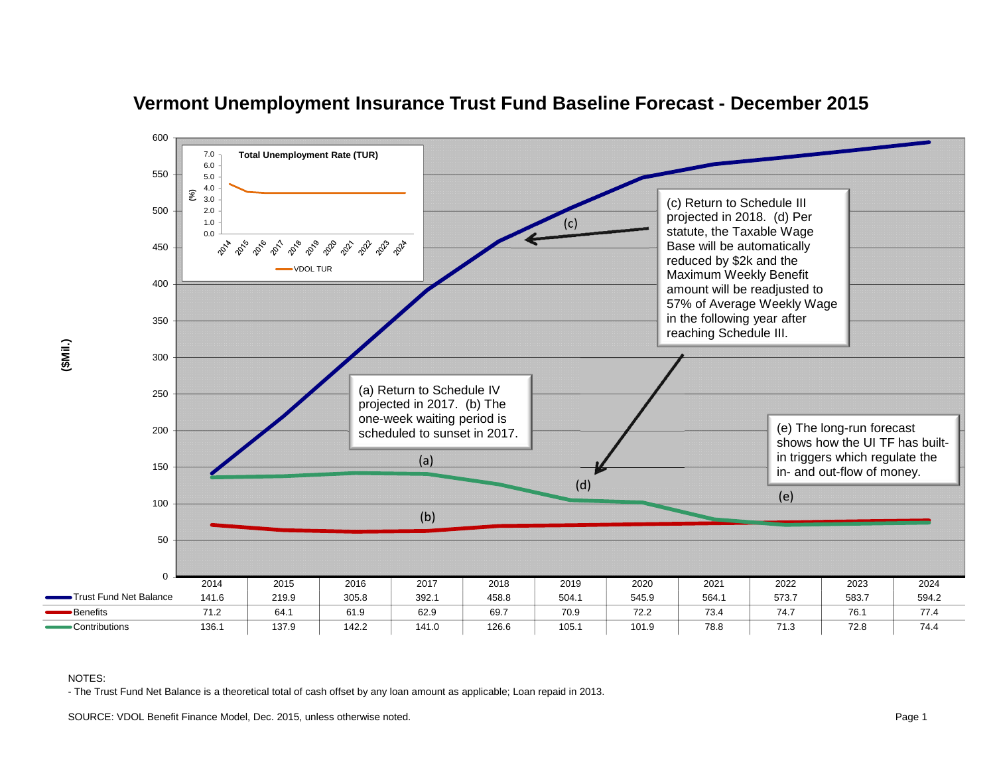

# **Vermont Unemployment Insurance Trust Fund Baseline Forecast - December 2015**

#### NOTES:

- The Trust Fund Net Balance is a theoretical total of cash offset by any loan amount as applicable; Loan repaid in 2013.

SOURCE: VDOL Benefit Finance Model, Dec. 2015, unless otherwise noted. **Page 1** Note that the state of the state of the state of the state of the state of the state of the state of the state of the state of the state of th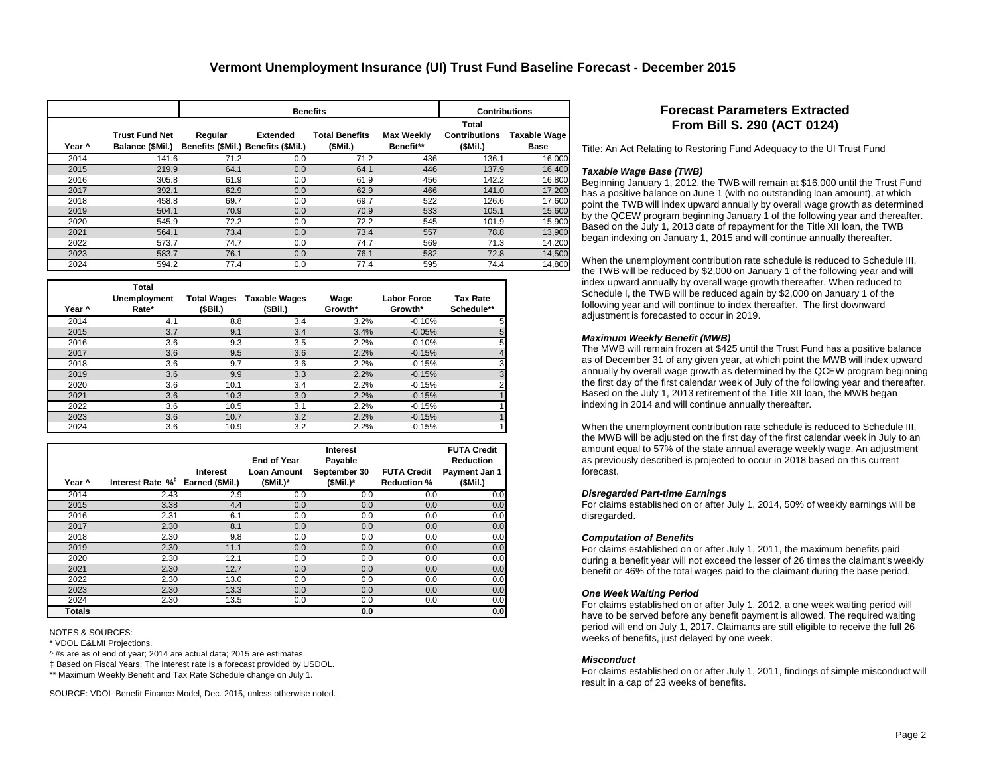|        |                                           |                                                | <b>Benefits</b> | <b>Contributions</b>             |                         |                                          |                      |
|--------|-------------------------------------------|------------------------------------------------|-----------------|----------------------------------|-------------------------|------------------------------------------|----------------------|
| Year ^ | <b>Trust Fund Net</b><br>Balance (\$Mil.) | Regular<br>Benefits (\$Mil.) Benefits (\$Mil.) | <b>Extended</b> | <b>Total Benefits</b><br>(SMil.) | Max Weekly<br>Benefit** | Total<br><b>Contributions</b><br>(SMil.) | Taxable Wage<br>Base |
| 2014   | 141.6                                     | 71.2                                           | 0.0             | 71.2                             | 436                     | 136.1                                    | 16,000               |
| 2015   | 219.9                                     | 64.1                                           | 0.0             | 64.1                             | 446                     | 137.9                                    | 16,400               |
| 2016   | 305.8                                     | 61.9                                           | 0.0             | 61.9                             | 456                     | 142.2                                    | 16,800               |
| 2017   | 392.1                                     | 62.9                                           | 0.0             | 62.9                             | 466                     | 141.0                                    | 17,200               |
| 2018   | 458.8                                     | 69.7                                           | 0.0             | 69.7                             | 522                     | 126.6                                    | 17,600               |
| 2019   | 504.1                                     | 70.9                                           | 0.0             | 70.9                             | 533                     | 105.1                                    | 15,600               |
| 2020   | 545.9                                     | 72.2                                           | 0.0             | 72.2                             | 545                     | 101.9                                    | 15,900               |
| 2021   | 564.1                                     | 73.4                                           | 0.0             | 73.4                             | 557                     | 78.8                                     | 13,900               |
| 2022   | 573.7                                     | 74.7                                           | 0.0             | 74.7                             | 569                     | 71.3                                     | 14,200               |
| 2023   | 583.7                                     | 76.1                                           | 0.0             | 76.1                             | 582                     | 72.8                                     | 14,500               |
| 2024   | 594.2                                     | 77.4                                           | 0.0             | 77.4                             | 595                     | 74.4                                     | 14,800               |

| Year ^ | Total<br>Unemployment<br>Rate* | <b>Total Wages</b><br>(\$Bil.) | <b>Taxable Wages</b><br>(\$Bil.) | Wage<br>Growth* | <b>Labor Force</b><br>Growth* | <b>Tax Rate</b><br>Schedule** |
|--------|--------------------------------|--------------------------------|----------------------------------|-----------------|-------------------------------|-------------------------------|
| 2014   | 4.1                            | 8.8                            | 3.4                              | 3.2%            | $-0.10%$                      | 5                             |
| 2015   | 3.7                            | 9.1                            | 3.4                              | 3.4%            | $-0.05%$                      | 5                             |
| 2016   | 3.6                            | 9.3                            | 3.5                              | 2.2%            | $-0.10%$                      | 5                             |
| 2017   | 3.6                            | 9.5                            | 3.6                              | 2.2%            | $-0.15%$                      | $\overline{4}$                |
| 2018   | 3.6                            | 9.7                            | 3.6                              | 2.2%            | $-0.15%$                      | 3                             |
| 2019   | 3.6                            | 9.9                            | 3.3                              | 2.2%            | $-0.15%$                      | 3                             |
| 2020   | 3.6                            | 10.1                           | 3.4                              | 2.2%            | $-0.15%$                      | $\overline{2}$                |
| 2021   | 3.6                            | 10.3                           | 3.0                              | 2.2%            | $-0.15%$                      |                               |
| 2022   | 3.6                            | 10.5                           | 3.1                              | 2.2%            | $-0.15%$                      |                               |
| 2023   | 3.6                            | 10.7                           | 3.2                              | 2.2%            | $-0.15%$                      |                               |
| 2024   | 3.6                            | 10.9                           | 3.2                              | 2.2%            | $-0.15%$                      |                               |

| Year ^ | Interest Rate $\%^{\dagger}$ Earned (\$Mil.) | Interest | <b>End of Year</b><br><b>Loan Amount</b><br>$(SMil.)^*$ | <b>Interest</b><br>Payable<br>September 30<br>$(SMil.)^*$ | <b>FUTA Credit</b><br><b>Reduction %</b> | <b>FUTA Credit</b><br><b>Reduction</b><br>Payment Jan 1<br>(SMil.) |
|--------|----------------------------------------------|----------|---------------------------------------------------------|-----------------------------------------------------------|------------------------------------------|--------------------------------------------------------------------|
| 2014   | 2.43                                         | 2.9      | 0.0                                                     | 0.0                                                       | 0.0                                      | 0.0                                                                |
| 2015   | 3.38                                         | 4.4      | 0.0                                                     | 0.0                                                       | 0.0                                      | 0.0                                                                |
| 2016   | 2.31                                         | 6.1      | 0.0                                                     | 0.0                                                       | 0.0                                      | 0.0                                                                |
| 2017   | 2.30                                         | 8.1      | 0.0                                                     | 0.0                                                       | 0.0                                      | 0.0                                                                |
| 2018   | 2.30                                         | 9.8      | 0.0                                                     | 0.0                                                       | 0.0                                      | 0.0                                                                |
| 2019   | 2.30                                         | 11.1     | 0.0                                                     | 0.0                                                       | 0.0                                      | 0.0                                                                |
| 2020   | 2.30                                         | 12.1     | 0.0                                                     | 0.0                                                       | 0.0                                      | 0.0                                                                |
| 2021   | 2.30                                         | 12.7     | 0.0                                                     | 0.0                                                       | 0.0                                      | 0.0                                                                |
| 2022   | 2.30                                         | 13.0     | 0.0                                                     | 0.0                                                       | 0.0                                      | 0.0                                                                |
| 2023   | 2.30                                         | 13.3     | 0.0                                                     | 0.0                                                       | 0.0                                      | 0.0                                                                |
| 2024   | 2.30                                         | 13.5     | 0.0                                                     | 0.0                                                       | 0.0                                      | 0.0                                                                |
| Totals |                                              |          |                                                         | 0.0                                                       |                                          | 0.0                                                                |

NOTES & SOURCES:

\* VDOL E&LMI Projections.

^ #s are as of end of year; 2014 are actual data; 2015 are estimates.

‡ Based on Fiscal Years; The interest rate is a forecast provided by USDOL.

\*\* Maximum Weekly Benefit and Tax Rate Schedule change on July 1.

SOURCE: VDOL Benefit Finance Model, Dec. 2015, unless otherwise noted.

## **Forecast Parameters Extracted From Bill S. 290 (ACT 0124)**

Title: An Act Relating to Restoring Fund Adequacy to the UI Trust Fund

#### *Taxable Wage Base (TWB)*

Beginning January 1, 2012, the TWB will remain at \$16,000 until the Trust Fund has a positive balance on June 1 (with no outstanding loan amount), at which point the TWB will index upward annually by overall wage growth as determined by the QCEW program beginning January 1 of the following year and thereafter. Based on the July 1, 2013 date of repayment for the Title XII loan, the TWB began indexing on January 1, 2015 and will continue annually thereafter.

When the unemployment contribution rate schedule is reduced to Schedule III, the TWB will be reduced by \$2,000 on January 1 of the following year and will index upward annually by overall wage growth thereafter. When reduced to Schedule I, the TWB will be reduced again by \$2,000 on January 1 of the following year and will continue to index thereafter. The first downward adjustment is forecasted to occur in 2019.

#### *Maximum Weekly Benefit (MWB)*

The MWB will remain frozen at \$425 until the Trust Fund has a positive balance as of December 31 of any given year, at which point the MWB will index upward annually by overall wage growth as determined by the QCEW program beginning the first day of the first calendar week of July of the following year and thereafter. Based on the July 1, 2013 retirement of the Title XII loan, the MWB began indexing in 2014 and will continue annually thereafter.

When the unemployment contribution rate schedule is reduced to Schedule III, the MWB will be adjusted on the first day of the first calendar week in July to an amount equal to 57% of the state annual average weekly wage. An adjustment as previously described is projected to occur in 2018 based on this current forecast.

#### *Disregarded Part-time Earnings*

For claims established on or after July 1, 2014, 50% of weekly earnings will be disregarded.

#### *Computation of Benefits*

For claims established on or after July 1, 2011, the maximum benefits paid during a benefit year will not exceed the lesser of 26 times the claimant's weekly benefit or 46% of the total wages paid to the claimant during the base period.

#### *One Week Waiting Period*

For claims established on or after July 1, 2012, a one week waiting period will have to be served before any benefit payment is allowed. The required waiting period will end on July 1, 2017. Claimants are still eligible to receive the full 26 weeks of benefits, just delayed by one week.

#### *Misconduct*

For claims established on or after July 1, 2011, findings of simple misconduct will result in a cap of 23 weeks of benefits.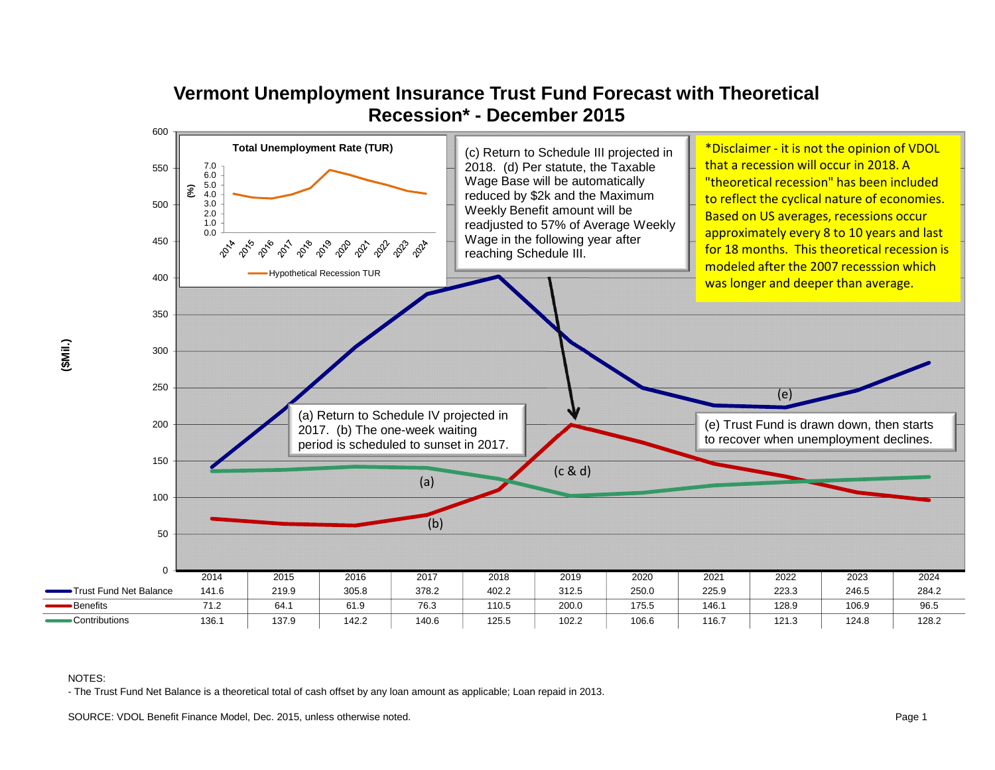

# **Vermont Unemployment Insurance Trust Fund Forecast with Theoretical Recession\* - December 2015**

### NOTES:

- The Trust Fund Net Balance is a theoretical total of cash offset by any loan amount as applicable; Loan repaid in 2013.

SOURCE: VDOL Benefit Finance Model, Dec. 2015, unless otherwise noted. **Page 1** Note that the state of the state of the state of the state of the state of the state of the state of the state of the state of the state of th